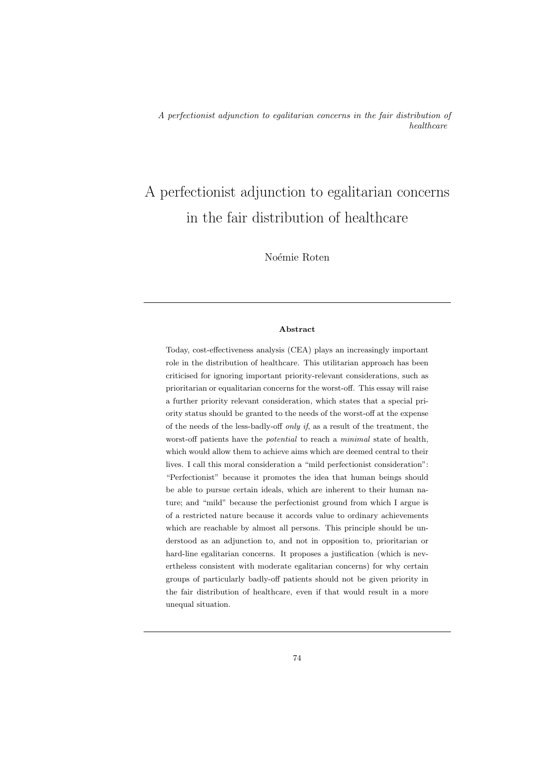# A perfectionist adjunction to egalitarian concerns in the fair distribution of healthcare

Noémie Roten

# Abstract

Today, cost-effectiveness analysis (CEA) plays an increasingly important role in the distribution of healthcare. This utilitarian approach has been criticised for ignoring important priority-relevant considerations, such as prioritarian or equalitarian concerns for the worst-off. This essay will raise a further priority relevant consideration, which states that a special priority status should be granted to the needs of the worst-off at the expense of the needs of the less-badly-off only if, as a result of the treatment, the worst-off patients have the *potential* to reach a *minimal* state of health, which would allow them to achieve aims which are deemed central to their lives. I call this moral consideration a "mild perfectionist consideration": "Perfectionist" because it promotes the idea that human beings should be able to pursue certain ideals, which are inherent to their human nature; and "mild" because the perfectionist ground from which I argue is of a restricted nature because it accords value to ordinary achievements which are reachable by almost all persons. This principle should be understood as an adjunction to, and not in opposition to, prioritarian or hard-line egalitarian concerns. It proposes a justification (which is nevertheless consistent with moderate egalitarian concerns) for why certain groups of particularly badly-off patients should not be given priority in the fair distribution of healthcare, even if that would result in a more unequal situation.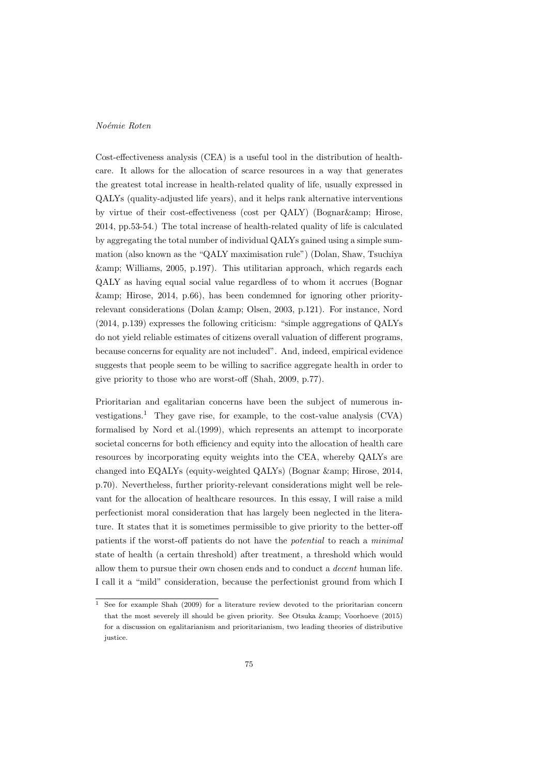Cost-effectiveness analysis (CEA) is a useful tool in the distribution of healthcare. It allows for the allocation of scarce resources in a way that generates the greatest total increase in health-related quality of life, usually expressed in QALYs (quality-adjusted life years), and it helps rank alternative interventions by virtue of their cost-effectiveness (cost per QALY) (Bognar& Hirose, 2014, pp.53-54.) The total increase of health-related quality of life is calculated by aggregating the total number of individual QALYs gained using a simple summation (also known as the "QALY maximisation rule") (Dolan, Shaw, Tsuchiya  $\&$ amp; Williams, 2005, p.197). This utilitarian approach, which regards each QALY as having equal social value regardless of to whom it accrues (Bognar  $\&$ amp; Hirose, 2014, p.66), has been condemned for ignoring other priorityrelevant considerations (Dolan & amp; Olsen, 2003, p.121). For instance, Nord (2014, p.139) expresses the following criticism: "simple aggregations of QALYs do not yield reliable estimates of citizens overall valuation of different programs, because concerns for equality are not included". And, indeed, empirical evidence suggests that people seem to be willing to sacrifice aggregate health in order to give priority to those who are worst-off (Shah, 2009, p.77).

Prioritarian and egalitarian concerns have been the subject of numerous investigations.<sup>1</sup> They gave rise, for example, to the cost-value analysis  $(CVA)$ formalised by Nord et al.(1999), which represents an attempt to incorporate societal concerns for both efficiency and equity into the allocation of health care resources by incorporating equity weights into the CEA, whereby QALYs are changed into EQALYs (equity-weighted QALYs) (Bognar & amp; Hirose, 2014, p.70). Nevertheless, further priority-relevant considerations might well be relevant for the allocation of healthcare resources. In this essay, I will raise a mild perfectionist moral consideration that has largely been neglected in the literature. It states that it is sometimes permissible to give priority to the better-off patients if the worst-off patients do not have the potential to reach a minimal state of health (a certain threshold) after treatment, a threshold which would allow them to pursue their own chosen ends and to conduct a decent human life. I call it a "mild" consideration, because the perfectionist ground from which I

 $\overline{1}$  See for example Shah (2009) for a literature review devoted to the prioritarian concern that the most severely ill should be given priority. See Otsuka  $\&$ amp; Voorhoeve (2015) for a discussion on egalitarianism and prioritarianism, two leading theories of distributive justice.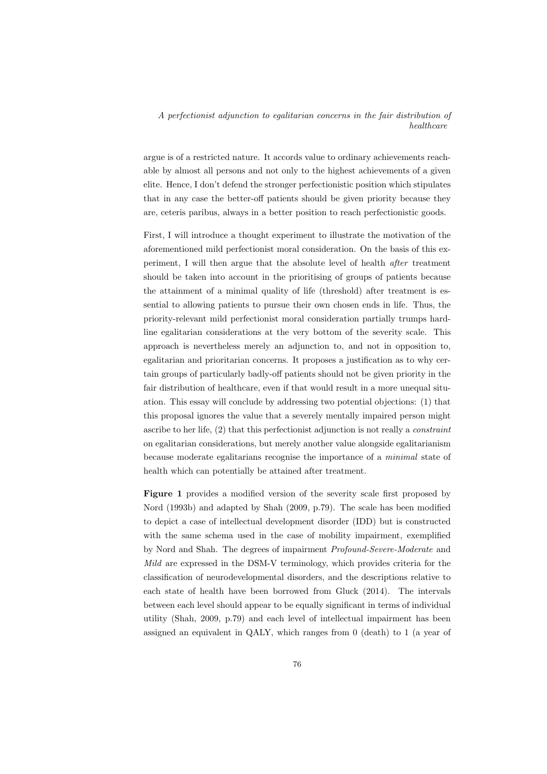argue is of a restricted nature. It accords value to ordinary achievements reachable by almost all persons and not only to the highest achievements of a given elite. Hence, I don't defend the stronger perfectionistic position which stipulates that in any case the better-off patients should be given priority because they are, ceteris paribus, always in a better position to reach perfectionistic goods.

First, I will introduce a thought experiment to illustrate the motivation of the aforementioned mild perfectionist moral consideration. On the basis of this experiment, I will then argue that the absolute level of health after treatment should be taken into account in the prioritising of groups of patients because the attainment of a minimal quality of life (threshold) after treatment is essential to allowing patients to pursue their own chosen ends in life. Thus, the priority-relevant mild perfectionist moral consideration partially trumps hardline egalitarian considerations at the very bottom of the severity scale. This approach is nevertheless merely an adjunction to, and not in opposition to, egalitarian and prioritarian concerns. It proposes a justification as to why certain groups of particularly badly-off patients should not be given priority in the fair distribution of healthcare, even if that would result in a more unequal situation. This essay will conclude by addressing two potential objections: (1) that this proposal ignores the value that a severely mentally impaired person might ascribe to her life, (2) that this perfectionist adjunction is not really a constraint on egalitarian considerations, but merely another value alongside egalitarianism because moderate egalitarians recognise the importance of a minimal state of health which can potentially be attained after treatment.

Figure 1 provides a modified version of the severity scale first proposed by Nord (1993b) and adapted by Shah (2009, p.79). The scale has been modified to depict a case of intellectual development disorder (IDD) but is constructed with the same schema used in the case of mobility impairment, exemplified by Nord and Shah. The degrees of impairment Profound-Severe-Moderate and Mild are expressed in the DSM-V terminology, which provides criteria for the classification of neurodevelopmental disorders, and the descriptions relative to each state of health have been borrowed from Gluck (2014). The intervals between each level should appear to be equally significant in terms of individual utility (Shah, 2009, p.79) and each level of intellectual impairment has been assigned an equivalent in QALY, which ranges from 0 (death) to 1 (a year of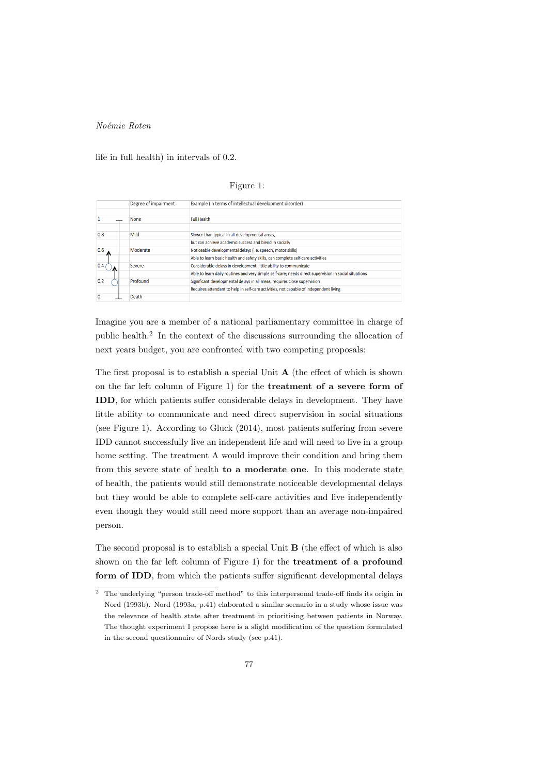life in full health) in intervals of 0.2.

# Figure 1:

|     | Degree of impairment | Example (in terms of intellectual development disorder)                                               |
|-----|----------------------|-------------------------------------------------------------------------------------------------------|
|     | None                 | <b>Full Health</b>                                                                                    |
| 0.8 | Mild                 | Slower than typical in all developmental areas,                                                       |
|     |                      | but can achieve academic success and blend in socially                                                |
| 0.6 | Moderate             | Noticeable developmental delays (i.e. speech, motor skills)                                           |
|     |                      | Able to learn basic health and safety skills, can complete self-care activities                       |
| 0.4 | Severe               | Considerable delays in development, little ability to communicate                                     |
|     |                      | Able to learn daily routines and very simple self-care; needs direct supervision in social situations |
| 0.2 | Profound             | Significant developmental delays in all areas, requires close supervision                             |
|     |                      | Requires attendant to help in self-care activities, not capable of independent living                 |
| Ω   | Death                |                                                                                                       |

Imagine you are a member of a national parliamentary committee in charge of public health.<sup>2</sup> In the context of the discussions surrounding the allocation of next years budget, you are confronted with two competing proposals:

The first proposal is to establish a special Unit <sup>A</sup> (the effect of which is shown on the far left column of Figure 1) for the treatment of a severe form of IDD, for which patients suffer considerable delays in development. They have little ability to communicate and need direct supervision in social situations (see Figure 1). According to Gluck (2014), most patients suffering from severe IDD cannot successfully live an independent life and will need to live in a group home setting. The treatment A would improve their condition and bring them from this severe state of health to a moderate one. In this moderate state of health, the patients would still demonstrate noticeable developmental delays but they would be able to complete self-care activities and live independently even though they would still need more support than an average non-impaired person.

The second proposal is to establish a special Unit <sup>B</sup> (the effect of which is also shown on the far left column of Figure 1) for the treatment of a profound form of IDD, from which the patients suffer significant developmental delays

 $\overline{2}$  The underlying "person trade-off method" to this interpersonal trade-off finds its origin in Nord (1993b). Nord (1993a, p.41) elaborated a similar scenario in a study whose issue was the relevance of health state after treatment in prioritising between patients in Norway. The thought experiment I propose here is a slight modification of the question formulated in the second questionnaire of Nords study (see p.41).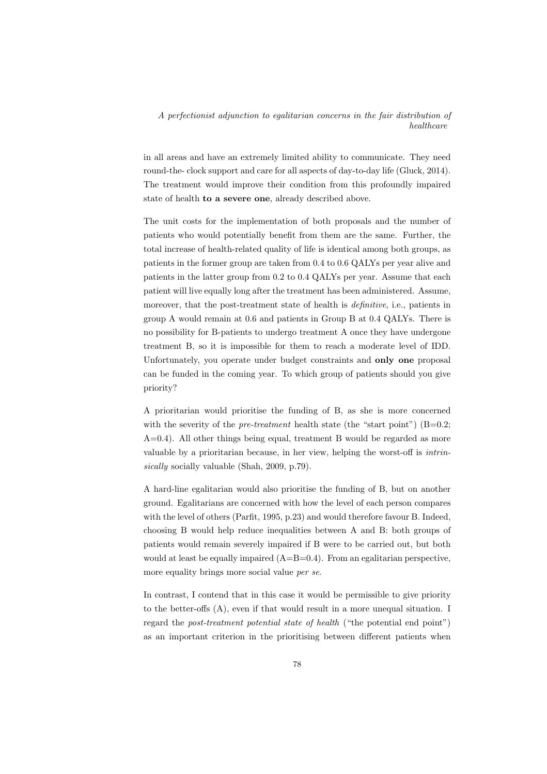in all areas and have an extremely limited ability to communicate. They need round-the- clock support and care for all aspects of day-to-day life (Gluck, 2014). The treatment would improve their condition from this profoundly impaired state of health to a severe one, already described above.

The unit costs for the implementation of both proposals and the number of patients who would potentially benefit from them are the same. Further, the total increase of health-related quality of life is identical among both groups, as patients in the former group are taken from 0.4 to 0.6 QALYs per year alive and patients in the latter group from 0.2 to 0.4 QALYs per year. Assume that each patient will live equally long after the treatment has been administered. Assume, moreover, that the post-treatment state of health is definitive, i.e., patients in group A would remain at 0.6 and patients in Group B at 0.4 QALYs. There is no possibility for B-patients to undergo treatment A once they have undergone treatment B, so it is impossible for them to reach a moderate level of IDD. Unfortunately, you operate under budget constraints and **only one** proposal can be funded in the coming year. To which group of patients should you give priority?

A prioritarian would prioritise the funding of B, as she is more concerned with the severity of the *pre-treatment* health state (the "start point")  $(B=0.2;$  $A=0.4$ ). All other things being equal, treatment B would be regarded as more valuable by a prioritarian because, in her view, helping the worst-off is intrinsically socially valuable (Shah, 2009, p.79).

A hard-line egalitarian would also prioritise the funding of B, but on another ground. Egalitarians are concerned with how the level of each person compares with the level of others (Parfit, 1995, p.23) and would therefore favour B. Indeed, choosing B would help reduce inequalities between A and B: both groups of patients would remain severely impaired if B were to be carried out, but both would at least be equally impaired (A=B=0.4). From an egalitarian perspective, more equality brings more social value per se.

In contrast, I contend that in this case it would be permissible to give priority to the better-offs (A), even if that would result in a more unequal situation. I regard the *post-treatment potential state of health* ("the potential end point") as an important criterion in the prioritising between different patients when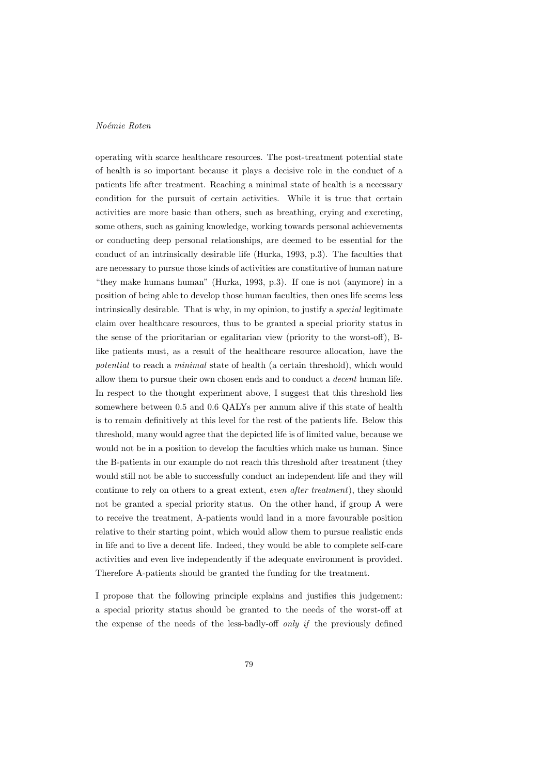operating with scarce healthcare resources. The post-treatment potential state of health is so important because it plays a decisive role in the conduct of a patients life after treatment. Reaching a minimal state of health is a necessary condition for the pursuit of certain activities. While it is true that certain activities are more basic than others, such as breathing, crying and excreting, some others, such as gaining knowledge, working towards personal achievements or conducting deep personal relationships, are deemed to be essential for the conduct of an intrinsically desirable life (Hurka, 1993, p.3). The faculties that are necessary to pursue those kinds of activities are constitutive of human nature "they make humans human" (Hurka, 1993, p.3). If one is not (anymore) in a position of being able to develop those human faculties, then ones life seems less intrinsically desirable. That is why, in my opinion, to justify a special legitimate claim over healthcare resources, thus to be granted a special priority status in the sense of the prioritarian or egalitarian view (priority to the worst-off), Blike patients must, as a result of the healthcare resource allocation, have the potential to reach a minimal state of health (a certain threshold), which would allow them to pursue their own chosen ends and to conduct a decent human life. In respect to the thought experiment above, I suggest that this threshold lies somewhere between 0.5 and 0.6 QALYs per annum alive if this state of health is to remain definitively at this level for the rest of the patients life. Below this threshold, many would agree that the depicted life is of limited value, because we would not be in a position to develop the faculties which make us human. Since the B-patients in our example do not reach this threshold after treatment (they would still not be able to successfully conduct an independent life and they will continue to rely on others to a great extent, even after treatment), they should not be granted a special priority status. On the other hand, if group A were to receive the treatment, A-patients would land in a more favourable position relative to their starting point, which would allow them to pursue realistic ends in life and to live a decent life. Indeed, they would be able to complete self-care activities and even live independently if the adequate environment is provided. Therefore A-patients should be granted the funding for the treatment.

I propose that the following principle explains and justifies this judgement: a special priority status should be granted to the needs of the worst-off at the expense of the needs of the less-badly-off only if the previously defined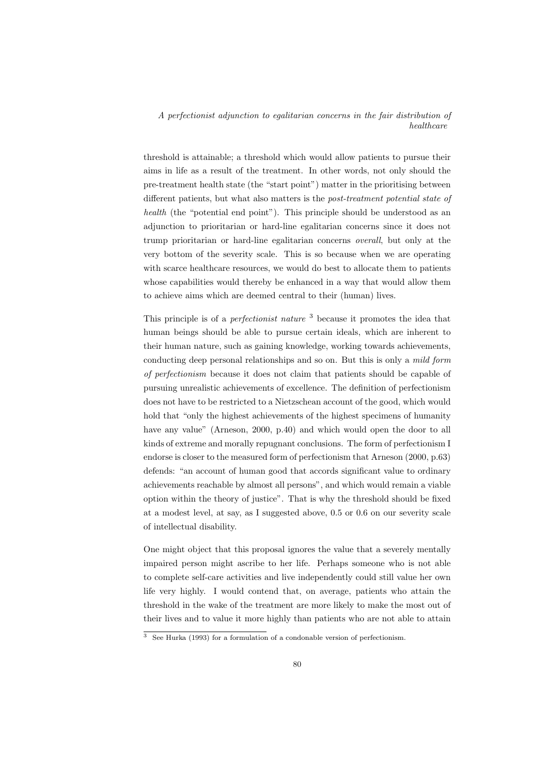threshold is attainable; a threshold which would allow patients to pursue their aims in life as a result of the treatment. In other words, not only should the pre-treatment health state (the "start point") matter in the prioritising between different patients, but what also matters is the post-treatment potential state of health (the "potential end point"). This principle should be understood as an adjunction to prioritarian or hard-line egalitarian concerns since it does not trump prioritarian or hard-line egalitarian concerns overall, but only at the very bottom of the severity scale. This is so because when we are operating with scarce healthcare resources, we would do best to allocate them to patients whose capabilities would thereby be enhanced in a way that would allow them to achieve aims which are deemed central to their (human) lives.

This principle is of a *perfectionist nature*  $3$  because it promotes the idea that human beings should be able to pursue certain ideals, which are inherent to their human nature, such as gaining knowledge, working towards achievements, conducting deep personal relationships and so on. But this is only a mild form of perfectionism because it does not claim that patients should be capable of pursuing unrealistic achievements of excellence. The definition of perfectionism does not have to be restricted to a Nietzschean account of the good, which would hold that "only the highest achievements of the highest specimens of humanity have any value" (Arneson, 2000, p.40) and which would open the door to all kinds of extreme and morally repugnant conclusions. The form of perfectionism I endorse is closer to the measured form of perfectionism that Arneson (2000, p.63) defends: "an account of human good that accords significant value to ordinary achievements reachable by almost all persons", and which would remain a viable option within the theory of justice". That is why the threshold should be fixed at a modest level, at say, as I suggested above, 0.5 or 0.6 on our severity scale of intellectual disability.

One might object that this proposal ignores the value that a severely mentally impaired person might ascribe to her life. Perhaps someone who is not able to complete self-care activities and live independently could still value her own life very highly. I would contend that, on average, patients who attain the threshold in the wake of the treatment are more likely to make the most out of their lives and to value it more highly than patients who are not able to attain

<sup>3</sup> See Hurka (1993) for a formulation of a condonable version of perfectionism.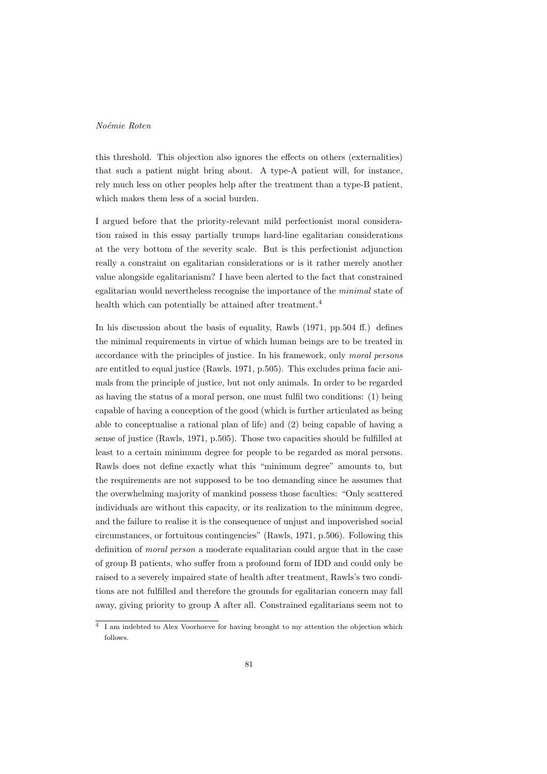this threshold. This objection also ignores the effects on others (externalities) that such a patient might bring about. A type-A patient will, for instance, rely much less on other peoples help after the treatment than a type-B patient, which makes them less of a social burden.

I argued before that the priority-relevant mild perfectionist moral consideration raised in this essay partially trumps hard-line egalitarian considerations at the very bottom of the severity scale. But is this perfectionist adjunction really a constraint on egalitarian considerations or is it rather merely another value alongside egalitarianism? I have been alerted to the fact that constrained egalitarian would nevertheless recognise the importance of the minimal state of health which can potentially be attained after treatment.<sup>4</sup>

In his discussion about the basis of equality, Rawls (1971, pp.504 ff.) defines the minimal requirements in virtue of which human beings are to be treated in accordance with the principles of justice. In his framework, only moral persons are entitled to equal justice (Rawls, 1971, p.505). This excludes prima facie animals from the principle of justice, but not only animals. In order to be regarded as having the status of a moral person, one must fulfil two conditions: (1) being capable of having a conception of the good (which is further articulated as being able to conceptualise a rational plan of life) and (2) being capable of having a sense of justice (Rawls, 1971, p.505). Those two capacities should be fulfilled at least to a certain minimum degree for people to be regarded as moral persons. Rawls does not define exactly what this "minimum degree" amounts to, but the requirements are not supposed to be too demanding since he assumes that the overwhelming majority of mankind possess those faculties: "Only scattered individuals are without this capacity, or its realization to the minimum degree, and the failure to realise it is the consequence of unjust and impoverished social circumstances, or fortuitous contingencies" (Rawls, 1971, p.506). Following this definition of moral person a moderate equalitarian could argue that in the case of group B patients, who suffer from a profound form of IDD and could only be raised to a severely impaired state of health after treatment, Rawls's two conditions are not fulfilled and therefore the grounds for egalitarian concern may fall away, giving priority to group A after all. Constrained egalitarians seem not to

 $^4\,$  I am indebted to Alex Voorhoeve for having brought to my attention the objection which follows.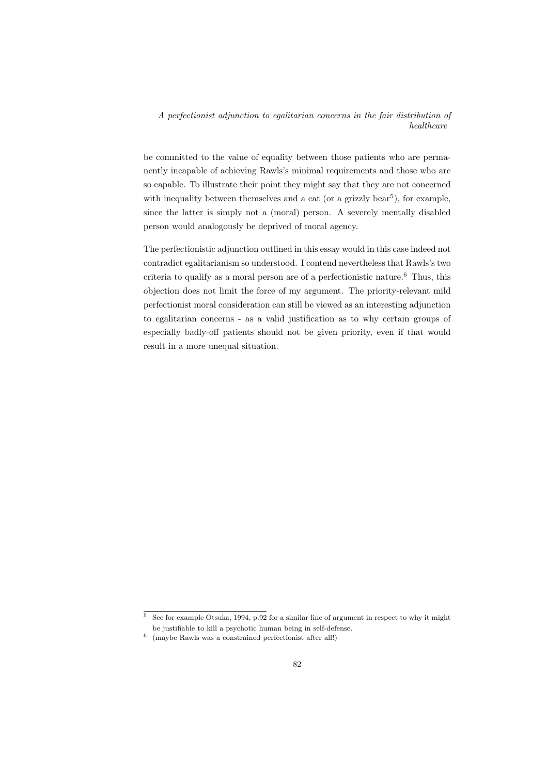be committed to the value of equality between those patients who are permanently incapable of achieving Rawls's minimal requirements and those who are so capable. To illustrate their point they might say that they are not concerned with inequality between themselves and a cat (or a grizzly bear<sup>5</sup>), for example, since the latter is simply not a (moral) person. A severely mentally disabled person would analogously be deprived of moral agency.

The perfectionistic adjunction outlined in this essay would in this case indeed not contradict egalitarianism so understood. I contend nevertheless that Rawls's two criteria to qualify as a moral person are of a perfectionistic nature.<sup>6</sup> Thus, this objection does not limit the force of my argument. The priority-relevant mild perfectionist moral consideration can still be viewed as an interesting adjunction to egalitarian concerns - as a valid justification as to why certain groups of especially badly-off patients should not be given priority, even if that would result in a more unequal situation.

 $\frac{5}{6}$  See for example Otsuka, 1994, p.92 for a similar line of argument in respect to why it might be justifiable to kill a psychotic human being in self-defense.

<sup>6</sup> (maybe Rawls was a constrained perfectionist after all!)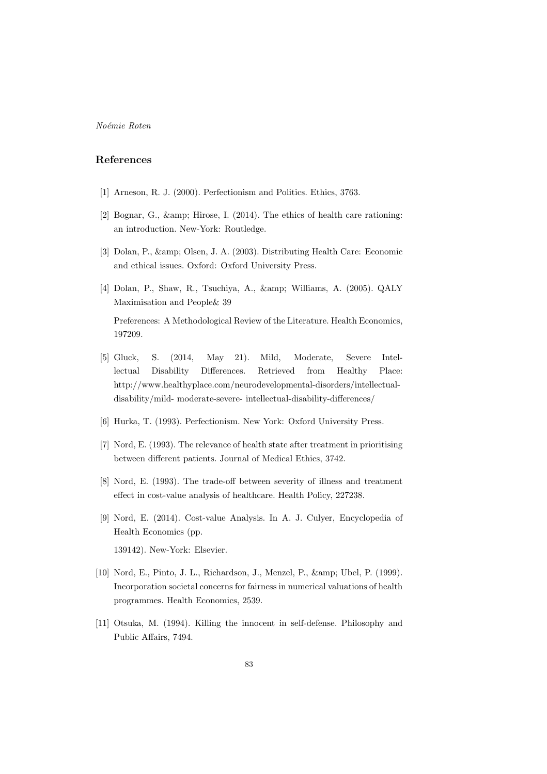# References

- [1] Arneson, R. J. (2000). Perfectionism and Politics. Ethics, 3763.
- [2] Bognar, G.,  $\&$ amp; Hirose, I. (2014). The ethics of health care rationing: an introduction. New-York: Routledge.
- [3] Dolan, P., & amp; Olsen, J. A. (2003). Distributing Health Care: Economic and ethical issues. Oxford: Oxford University Press.
- [4] Dolan, P., Shaw, R., Tsuchiya, A., & amp; Williams, A. (2005). QALY Maximisation and People& 39

Preferences: A Methodological Review of the Literature. Health Economics, 197209.

- [5] Gluck, S. (2014, May 21). Mild, Moderate, Severe Intellectual Disability Differences. Retrieved from Healthy Place: http://www.healthyplace.com/neurodevelopmental-disorders/intellectualdisability/mild- moderate-severe- intellectual-disability-differences/
- [6] Hurka, T. (1993). Perfectionism. New York: Oxford University Press.
- [7] Nord, E. (1993). The relevance of health state after treatment in prioritising between different patients. Journal of Medical Ethics, 3742.
- [8] Nord, E. (1993). The trade-off between severity of illness and treatment effect in cost-value analysis of healthcare. Health Policy, 227238.
- [9] Nord, E. (2014). Cost-value Analysis. In A. J. Culyer, Encyclopedia of Health Economics (pp. 139142). New-York: Elsevier.
- [10] Nord, E., Pinto, J. L., Richardson, J., Menzel, P., & amp; Ubel, P. (1999). Incorporation societal concerns for fairness in numerical valuations of health programmes. Health Economics, 2539.
- [11] Otsuka, M. (1994). Killing the innocent in self-defense. Philosophy and Public Affairs, 7494.